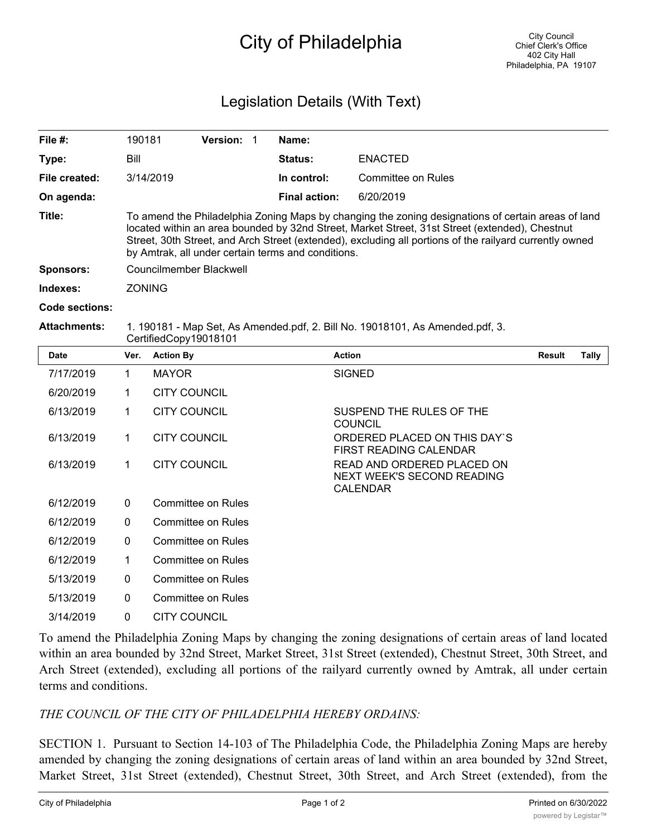## City of Philadelphia

## Legislation Details (With Text)

| File $#$ :       | 190181                                                                                                                                                                                                                                                                                                                                                                | <b>Version:</b> |  | Name:                |                    |  |  |  |
|------------------|-----------------------------------------------------------------------------------------------------------------------------------------------------------------------------------------------------------------------------------------------------------------------------------------------------------------------------------------------------------------------|-----------------|--|----------------------|--------------------|--|--|--|
| Type:            | Bill                                                                                                                                                                                                                                                                                                                                                                  |                 |  | <b>Status:</b>       | <b>ENACTED</b>     |  |  |  |
| File created:    | 3/14/2019                                                                                                                                                                                                                                                                                                                                                             |                 |  | In control:          | Committee on Rules |  |  |  |
| On agenda:       |                                                                                                                                                                                                                                                                                                                                                                       |                 |  | <b>Final action:</b> | 6/20/2019          |  |  |  |
| Title:           | To amend the Philadelphia Zoning Maps by changing the zoning designations of certain areas of land<br>located within an area bounded by 32nd Street, Market Street, 31st Street (extended), Chestnut<br>Street, 30th Street, and Arch Street (extended), excluding all portions of the railyard currently owned<br>by Amtrak, all under certain terms and conditions. |                 |  |                      |                    |  |  |  |
| <b>Sponsors:</b> | Councilmember Blackwell                                                                                                                                                                                                                                                                                                                                               |                 |  |                      |                    |  |  |  |
| Indexes:         | <b>ZONING</b>                                                                                                                                                                                                                                                                                                                                                         |                 |  |                      |                    |  |  |  |
| Code sections:   |                                                                                                                                                                                                                                                                                                                                                                       |                 |  |                      |                    |  |  |  |
|                  |                                                                                                                                                                                                                                                                                                                                                                       |                 |  |                      |                    |  |  |  |

## **Attachments:** 1. 190181 - Map Set, As Amended.pdf, 2. Bill No. 19018101, As Amended.pdf, 3. CertifiedCopy19018101

| <b>Date</b> | Ver.         | <b>Action By</b>    | <b>Action</b>                                                               | <b>Result</b> | Tally |
|-------------|--------------|---------------------|-----------------------------------------------------------------------------|---------------|-------|
| 7/17/2019   | 1            | <b>MAYOR</b>        | <b>SIGNED</b>                                                               |               |       |
| 6/20/2019   | 1            | <b>CITY COUNCIL</b> |                                                                             |               |       |
| 6/13/2019   | 1            | <b>CITY COUNCIL</b> | SUSPEND THE RULES OF THE<br><b>COUNCIL</b>                                  |               |       |
| 6/13/2019   | 1            | <b>CITY COUNCIL</b> | ORDERED PLACED ON THIS DAY'S<br><b>FIRST READING CALENDAR</b>               |               |       |
| 6/13/2019   | 1            | <b>CITY COUNCIL</b> | READ AND ORDERED PLACED ON<br>NEXT WEEK'S SECOND READING<br><b>CALENDAR</b> |               |       |
| 6/12/2019   | $\mathbf{0}$ | Committee on Rules  |                                                                             |               |       |
| 6/12/2019   | 0            | Committee on Rules  |                                                                             |               |       |
| 6/12/2019   | $\Omega$     | Committee on Rules  |                                                                             |               |       |
| 6/12/2019   | 1            | Committee on Rules  |                                                                             |               |       |
| 5/13/2019   | 0            | Committee on Rules  |                                                                             |               |       |
| 5/13/2019   | 0            | Committee on Rules  |                                                                             |               |       |
| 3/14/2019   | $\Omega$     | <b>CITY COUNCIL</b> |                                                                             |               |       |

To amend the Philadelphia Zoning Maps by changing the zoning designations of certain areas of land located within an area bounded by 32nd Street, Market Street, 31st Street (extended), Chestnut Street, 30th Street, and Arch Street (extended), excluding all portions of the railyard currently owned by Amtrak, all under certain terms and conditions.

## *THE COUNCIL OF THE CITY OF PHILADELPHIA HEREBY ORDAINS:*

SECTION 1. Pursuant to Section 14-103 of The Philadelphia Code, the Philadelphia Zoning Maps are hereby amended by changing the zoning designations of certain areas of land within an area bounded by 32nd Street, Market Street, 31st Street (extended), Chestnut Street, 30th Street, and Arch Street (extended), from the